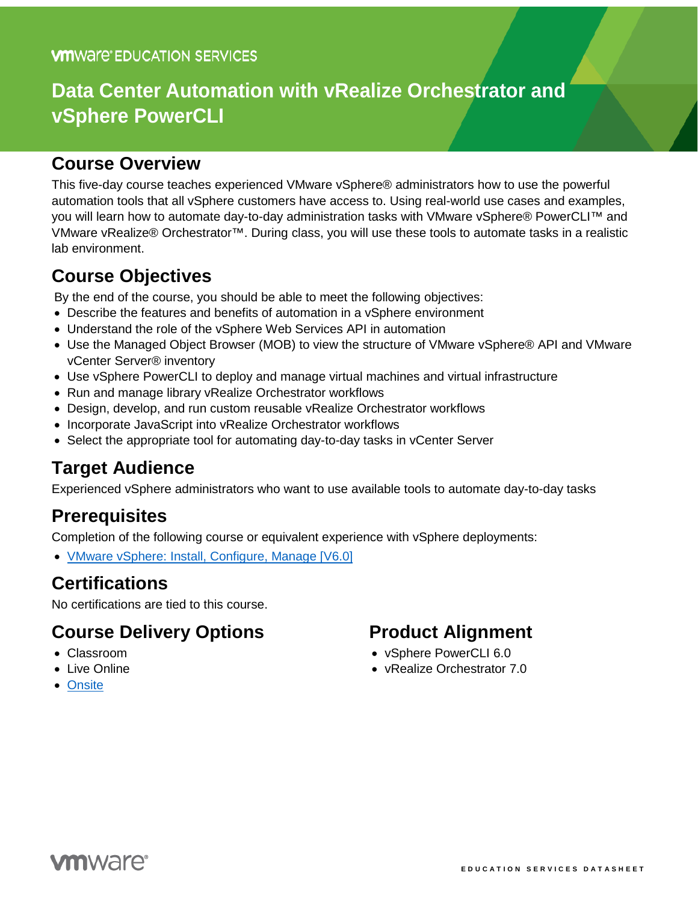# **Data Center Automation with vRealize Orchestrator and vSphere PowerCLI**

### **Course Overview**

This five-day course teaches experienced VMware vSphere® administrators how to use the powerful automation tools that all vSphere customers have access to. Using real-world use cases and examples, you will learn how to automate day-to-day administration tasks with VMware vSphere® PowerCLI™ and VMware vRealize® Orchestrator™. During class, you will use these tools to automate tasks in a realistic lab environment.

# **Course Objectives**

By the end of the course, you should be able to meet the following objectives:

- Describe the features and benefits of automation in a vSphere environment
- Understand the role of the vSphere Web Services API in automation
- Use the Managed Object Browser (MOB) to view the structure of VMware vSphere® API and VMware vCenter Server® inventory
- Use vSphere PowerCLI to deploy and manage virtual machines and virtual infrastructure
- Run and manage library vRealize Orchestrator workflows
- Design, develop, and run custom reusable vRealize Orchestrator workflows
- Incorporate JavaScript into vRealize Orchestrator workflows
- Select the appropriate tool for automating day-to-day tasks in vCenter Server

### **Target Audience**

Experienced vSphere administrators who want to use available tools to automate day-to-day tasks

### **Prerequisites**

Completion of the following course or equivalent experience with vSphere deployments:

• [VMware vSphere: Install, Configure, Manage \[V6.0\]](https://mylearn.vmware.com/mgrreg/courses.cfm?ui=www_edu&a=one&id_subject=60901)

### **Certifications**

No certifications are tied to this course.

### **Course Delivery Options**

- Classroom
- Live Online
- [Onsite](http://mylearn.vmware.com/mgrReg/plan.cfm?plan=38045&ui=www_edu)

### **Product Alignment**

- vSphere PowerCLI 6.0
- vRealize Orchestrator 7.0

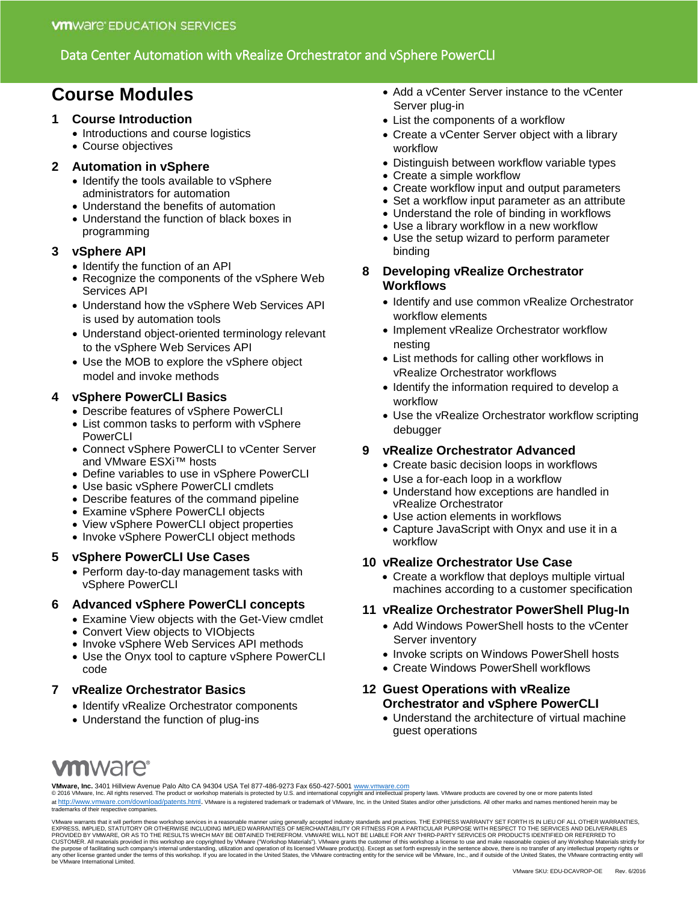#### Data Center Automation with vRealize Orchestrator and vSphere PowerCLI

# **Course Modules**

#### **1 Course Introduction**

- Introductions and course logistics
- Course objectives

#### **2 Automation in vSphere**

- Identify the tools available to vSphere administrators for automation
- Understand the benefits of automation
- Understand the function of black boxes in programming

#### **3 vSphere API**

- Identify the function of an API
- Recognize the components of the vSphere Web Services API
- Understand how the vSphere Web Services API is used by automation tools
- Understand object-oriented terminology relevant to the vSphere Web Services API
- Use the MOB to explore the vSphere object model and invoke methods

#### **4 vSphere PowerCLI Basics**

- Describe features of vSphere PowerCLI
- List common tasks to perform with vSphere PowerCLI
- Connect vSphere PowerCLI to vCenter Server and VMware ESXi™ hosts
- Define variables to use in vSphere PowerCLI
- Use basic vSphere PowerCLI cmdlets
- Describe features of the command pipeline
- Examine vSphere PowerCLI objects
- View vSphere PowerCLI object properties
- Invoke vSphere PowerCLI object methods

#### **5 vSphere PowerCLI Use Cases**

• Perform day-to-day management tasks with vSphere PowerCLI

#### **6 Advanced vSphere PowerCLI concepts**

- Examine View objects with the Get-View cmdlet
- Convert View objects to VIObjects
- Invoke vSphere Web Services API methods
- Use the Onyx tool to capture vSphere PowerCLI code

#### **7 vRealize Orchestrator Basics**

- Identify vRealize Orchestrator components
- Understand the function of plug-ins

• Add a vCenter Server instance to the vCenter Server plug-in

- List the components of a workflow
- Create a vCenter Server object with a library workflow
- Distinguish between workflow variable types
- Create a simple workflow
- Create workflow input and output parameters
- Set a workflow input parameter as an attribute
- Understand the role of binding in workflows
- Use a library workflow in a new workflow
- Use the setup wizard to perform parameter binding
- **8 Developing vRealize Orchestrator Workflows**
	- Identify and use common vRealize Orchestrator workflow elements
	- Implement vRealize Orchestrator workflow nesting
	- List methods for calling other workflows in vRealize Orchestrator workflows
	- Identify the information required to develop a workflow
	- Use the vRealize Orchestrator workflow scripting debugger

#### **9 vRealize Orchestrator Advanced**

- Create basic decision loops in workflows
- Use a for-each loop in a workflow
- Understand how exceptions are handled in vRealize Orchestrator
- Use action elements in workflows
- Capture JavaScript with Onyx and use it in a workflow

#### **10 vRealize Orchestrator Use Case**

• Create a workflow that deploys multiple virtual machines according to a customer specification

#### **11 vRealize Orchestrator PowerShell Plug-In**

- Add Windows PowerShell hosts to the vCenter Server inventory
- Invoke scripts on Windows PowerShell hosts
- Create Windows PowerShell workflows

#### **12 Guest Operations with vRealize Orchestrator and vSphere PowerCLI**

• Understand the architecture of virtual machine guest operations

# **m**ware<sup>®</sup>

**VMware, Inc.** 3401 Hillview Avenue Palo Alto CA 94304 USA Tel 877-486-9273 Fax 650-427-5001 <u>[www.vmware.com](http://www.vmware.com/)</u><br>© 2016 VMware, Inc. All rights reserved. The product or workshop materials is protected by U.S. and internationa at [http://www.vmware.com/download/patents.html.](http://www.vmware.com/download/patents.html) VMware is a registered trademark or trademark of VMware, Inc. in the United States and/or other jurisdictions. All other marks and names mentioned herein may be trademarks of their respective companies.

VMware warrants that it will perform these workshop services in a reasonable manner using generally accepted industry standards and practices. THE EXPRESS WARRANTY SET FORTHIS IN LIEU OF ALL OTHER WARRANTIES,<br>EXPRESS, IMPL be VMware International Limited.